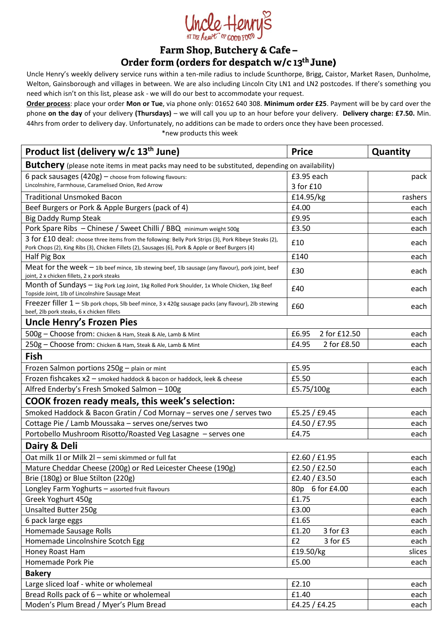

### Farm Shop, Butchery & Cafe-Order form (orders for despatch w/c 13<sup>th</sup> June)

Uncle Henry's weekly delivery service runs within a ten-mile radius to include Scunthorpe, Brigg, Caistor, Market Rasen, Dunholme, Welton, Gainsborough and villages in between. We are also including Lincoln City LN1 and LN2 postcodes. If there's something you need which isn't on this list, please ask - we will do our best to accommodate your request.

**Order process**: place your order **Mon or Tue**, via phone only: 01652 640 308. **Minimum order £25**. Payment will be by card over the phone **on the day** of your delivery **(Thursdays)** – we will call you up to an hour before your delivery. **Delivery charge: £7.50.** Min. 44hrs from order to delivery day. Unfortunately, no additions can be made to orders once they have been processed.

\*new products this week

| Product list (delivery w/c 13 <sup>th</sup> June)                                                                                                                                                           | <b>Price</b>          | Quantity |  |
|-------------------------------------------------------------------------------------------------------------------------------------------------------------------------------------------------------------|-----------------------|----------|--|
| Butchery (please note items in meat packs may need to be substituted, depending on availability)                                                                                                            |                       |          |  |
| 6 pack sausages $(420g)$ - choose from following flavours:                                                                                                                                                  | £3.95 each            | pack     |  |
| Lincolnshire, Farmhouse, Caramelised Onion, Red Arrow                                                                                                                                                       | 3 for £10             |          |  |
| <b>Traditional Unsmoked Bacon</b>                                                                                                                                                                           | £14.95/kg             | rashers  |  |
| Beef Burgers or Pork & Apple Burgers (pack of 4)                                                                                                                                                            | £4.00                 | each     |  |
| <b>Big Daddy Rump Steak</b>                                                                                                                                                                                 | £9.95                 | each     |  |
| Pork Spare Ribs - Chinese / Sweet Chilli / BBQ minimum weight 500g                                                                                                                                          | £3.50                 | each     |  |
| 3 for £10 deal: choose three items from the following: Belly Pork Strips (3), Pork Ribeye Steaks (2),<br>Pork Chops (2), King Ribs (3), Chicken Fillets (2), Sausages (6), Pork & Apple or Beef Burgers (4) | £10                   | each     |  |
| Half Pig Box                                                                                                                                                                                                | £140                  | each     |  |
| Meat for the week - 1Ib beef mince, 1Ib stewing beef, 1Ib sausage (any flavour), pork joint, beef                                                                                                           | £30                   | each     |  |
| joint, 2 x chicken fillets, 2 x pork steaks                                                                                                                                                                 |                       |          |  |
| Month of Sundays - 1kg Pork Leg Joint, 1kg Rolled Pork Shoulder, 1x Whole Chicken, 1kg Beef<br>Topside Joint, 1lb of Lincolnshire Sausage Meat                                                              | £40                   | each     |  |
| Freezer filler $1 -$ 51b pork chops, 51b beef mince, 3 x 420g sausage packs (any flavour), 21b stewing<br>beef, 2lb pork steaks, 6 x chicken fillets                                                        | £60                   | each     |  |
| Uncle Henry's Frozen Pies                                                                                                                                                                                   |                       |          |  |
| 500g - Choose from: Chicken & Ham, Steak & Ale, Lamb & Mint                                                                                                                                                 | 2 for £12.50<br>£6.95 | each     |  |
| 250g - Choose from: Chicken & Ham, Steak & Ale, Lamb & Mint                                                                                                                                                 | 2 for £8.50<br>£4.95  | each     |  |
| Fish                                                                                                                                                                                                        |                       |          |  |
| Frozen Salmon portions 250g - plain or mint                                                                                                                                                                 | £5.95                 | each     |  |
| Frozen fishcakes x2 - smoked haddock & bacon or haddock, leek & cheese                                                                                                                                      | £5.50                 | each     |  |
| Alfred Enderby's Fresh Smoked Salmon - 100g                                                                                                                                                                 | £5.75/100g            | each     |  |
| <b>COOK frozen ready meals, this week's selection:</b>                                                                                                                                                      |                       |          |  |
| Smoked Haddock & Bacon Gratin / Cod Mornay - serves one / serves two                                                                                                                                        | £5.25 / £9.45         | each     |  |
| Cottage Pie / Lamb Moussaka - serves one/serves two                                                                                                                                                         | £4.50 / £7.95         | each     |  |
| Portobello Mushroom Risotto/Roasted Veg Lasagne - serves one                                                                                                                                                | £4.75                 | each     |  |
| Dairy & Deli                                                                                                                                                                                                |                       |          |  |
| Oat milk 1l or Milk 2l - semi skimmed or full fat                                                                                                                                                           | £2.60 / £1.95         | each     |  |
| Mature Cheddar Cheese (200g) or Red Leicester Cheese (190g)                                                                                                                                                 | £2.50 / £2.50         | each     |  |
| Brie (180g) or Blue Stilton (220g)                                                                                                                                                                          | £2.40 / £3.50         | each     |  |
| Longley Farm Yoghurts - assorted fruit flavours                                                                                                                                                             | 6 for £4.00<br>80p    | each     |  |
| Greek Yoghurt 450g                                                                                                                                                                                          | £1.75                 | each     |  |
| <b>Unsalted Butter 250g</b>                                                                                                                                                                                 | £3.00                 | each     |  |
| 6 pack large eggs                                                                                                                                                                                           | £1.65                 | each     |  |
| Homemade Sausage Rolls                                                                                                                                                                                      | £1.20<br>3 for £3     | each     |  |
| Homemade Lincolnshire Scotch Egg                                                                                                                                                                            | £2<br>3 for £5        | each     |  |
| Honey Roast Ham                                                                                                                                                                                             | £19.50/kg             | slices   |  |
| Homemade Pork Pie                                                                                                                                                                                           | £5.00                 | each     |  |
| <b>Bakery</b>                                                                                                                                                                                               |                       |          |  |
| Large sliced loaf - white or wholemeal                                                                                                                                                                      | £2.10                 | each     |  |
| Bread Rolls pack of 6 - white or wholemeal                                                                                                                                                                  | £1.40                 | each     |  |
| Moden's Plum Bread / Myer's Plum Bread                                                                                                                                                                      | £4.25 / £4.25         | each     |  |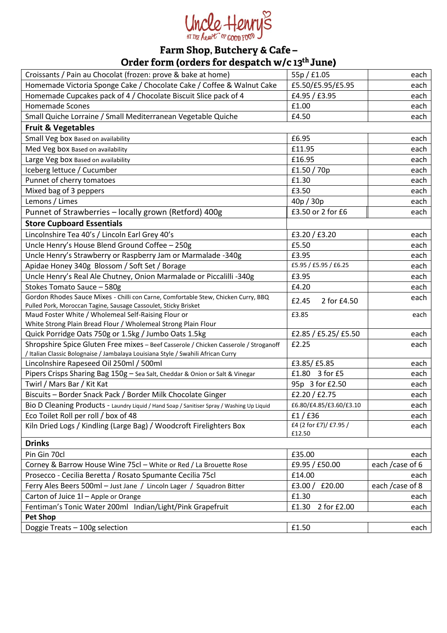

# Farm Shop, Butchery & Cafe –<br>Order form (orders for despatch w/c 13<sup>th</sup> June)

| Croissants / Pain au Chocolat (frozen: prove & bake at home)                                                           | 55p / f1.05             | each             |  |
|------------------------------------------------------------------------------------------------------------------------|-------------------------|------------------|--|
| Homemade Victoria Sponge Cake / Chocolate Cake / Coffee & Walnut Cake                                                  | £5.50/£5.95/£5.95       | each             |  |
| Homemade Cupcakes pack of 4 / Chocolate Biscuit Slice pack of 4                                                        | £4.95 / £3.95           | each             |  |
| <b>Homemade Scones</b>                                                                                                 | £1.00                   | each             |  |
| Small Quiche Lorraine / Small Mediterranean Vegetable Quiche                                                           | £4.50                   | each             |  |
| <b>Fruit &amp; Vegetables</b>                                                                                          |                         |                  |  |
| Small Veg box Based on availability                                                                                    | £6.95                   | each             |  |
| Med Veg box Based on availability                                                                                      | £11.95                  | each             |  |
| Large Veg box Based on availability                                                                                    | £16.95                  | each             |  |
| Iceberg lettuce / Cucumber                                                                                             | £1.50 $/$ 70p           | each             |  |
| Punnet of cherry tomatoes                                                                                              | £1.30                   | each             |  |
| Mixed bag of 3 peppers                                                                                                 | £3.50                   | each             |  |
| Lemons / Limes                                                                                                         | 40p / 30p               | each             |  |
| Punnet of Strawberries - locally grown (Retford) 400g                                                                  | £3.50 or 2 for £6       | each             |  |
| <b>Store Cupboard Essentials</b>                                                                                       |                         |                  |  |
|                                                                                                                        |                         |                  |  |
| Lincolnshire Tea 40's / Lincoln Earl Grey 40's                                                                         | £3.20 $/$ £3.20         | each             |  |
| Uncle Henry's House Blend Ground Coffee - 250g                                                                         | £5.50                   | each             |  |
| Uncle Henry's Strawberry or Raspberry Jam or Marmalade -340g                                                           | £3.95                   | each             |  |
| Apidae Honey 340g Blossom / Soft Set / Borage                                                                          | £5.95 / £5.95 / £6.25   | each             |  |
| Uncle Henry's Real Ale Chutney, Onion Marmalade or Piccalilli -340g                                                    | £3.95                   | each             |  |
| Stokes Tomato Sauce - 580g                                                                                             | £4.20                   | each             |  |
| Gordon Rhodes Sauce Mixes - Chilli con Carne, Comfortable Stew, Chicken Curry, BBQ                                     | £2.45<br>2 for £4.50    | each             |  |
| Pulled Pork, Moroccan Tagine, Sausage Cassoulet, Sticky Brisket<br>Maud Foster White / Wholemeal Self-Raising Flour or | £3.85                   | each             |  |
| White Strong Plain Bread Flour / Wholemeal Strong Plain Flour                                                          |                         |                  |  |
| Quick Porridge Oats 750g or 1.5kg / Jumbo Oats 1.5kg                                                                   | £2.85 / £5.25 / £5.50   | each             |  |
| Shropshire Spice Gluten Free mixes - Beef Casserole / Chicken Casserole / Stroganoff                                   | £2.25                   | each             |  |
| / Italian Classic Bolognaise / Jambalaya Louisiana Style / Swahili African Curry                                       |                         |                  |  |
| Lincolnshire Rapeseed Oil 250ml / 500ml                                                                                | £3.85/ £5.85            | each             |  |
| Pipers Crisps Sharing Bag 150g - Sea Salt, Cheddar & Onion or Salt & Vinegar                                           | £1.80 3 for £5          | each             |  |
| Twirl / Mars Bar / Kit Kat                                                                                             | 95p 3 for £2.50         | each             |  |
| Biscuits - Border Snack Pack / Border Milk Chocolate Ginger                                                            | £2.20 / £2.75           | each             |  |
| Bio D Cleaning Products - Laundry Liquid / Hand Soap / Sanitiser Spray / Washing Up Liquid                             | £6.80/£4.85/£3.60/£3.10 | each             |  |
| Eco Toilet Roll per roll / box of 48                                                                                   | f1/f36                  | each             |  |
| Kiln Dried Logs / Kindling (Large Bag) / Woodcroft Firelighters Box                                                    | £4 (2 for £7)/ £7.95 /  | each             |  |
|                                                                                                                        | £12.50                  |                  |  |
| <b>Drinks</b>                                                                                                          |                         |                  |  |
| Pin Gin 70cl                                                                                                           | £35.00                  | each             |  |
| Corney & Barrow House Wine 75cl - White or Red / La Brouette Rose                                                      | £9.95 / £50.00          | each / case of 6 |  |
| Prosecco - Cecilia Beretta / Rosato Spumante Cecilia 75cl                                                              | £14.00                  | each             |  |
| Ferry Ales Beers 500ml - Just Jane / Lincoln Lager / Squadron Bitter                                                   | £3.00/<br>£20.00        | each / case of 8 |  |
| Carton of Juice 1I - Apple or Orange                                                                                   | £1.30                   | each             |  |
| Fentiman's Tonic Water 200ml Indian/Light/Pink Grapefruit                                                              | 2 for £2.00<br>£1.30    | each             |  |
| <b>Pet Shop</b>                                                                                                        |                         |                  |  |
| Doggie Treats - 100g selection                                                                                         | £1.50                   | each             |  |